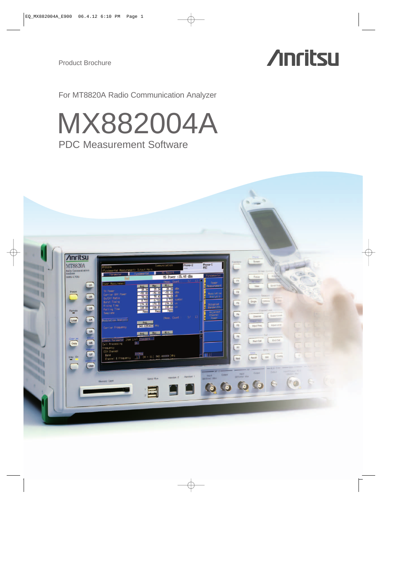# **Anritsu**

For MT8820A Radio Communication Analyzer

# PDC Measurement Software MX882004A

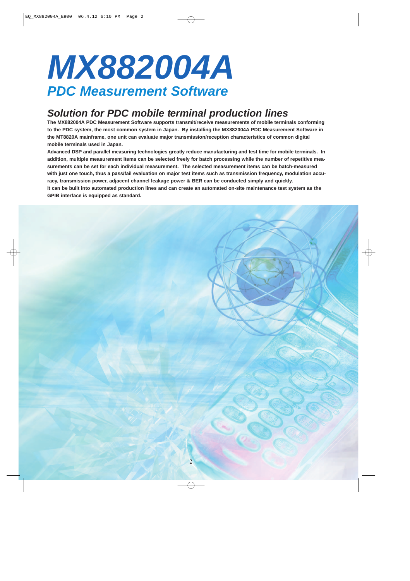# **MX882004A PDC Measurement Software**

# **Solution for PDC mobile terminal production lines**

**The MX882004A PDC Measurement Software supports transmit/receive measurements of mobile terminals conforming to the PDC system, the most common system in Japan. By installing the MX882004A PDC Measurement Software in the MT8820A mainframe, one unit can evaluate major transmission/reception characteristics of common digital mobile terminals used in Japan.** 

**Advanced DSP and parallel measuring technologies greatly reduce manufacturing and test time for mobile terminals. In addition, multiple measurement items can be selected freely for batch processing while the number of repetitive measurements can be set for each individual measurement. The selected measurement items can be batch-measured with just one touch, thus a pass/fail evaluation on major test items such as transmission frequency, modulation accuracy, transmission power, adjacent channel leakage power & BER can be conducted simply and quickly. It can be built into automated production lines and can create an automated on-site maintenance test system as the GPIB interface is equipped as standard.**

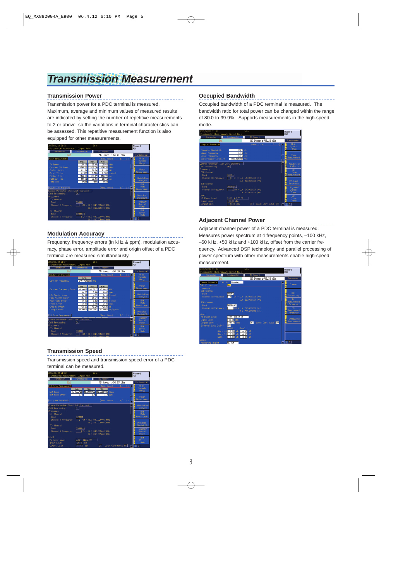# **Transmission Measurement**

### **Transmission Power**

Transmission power for a PDC terminal is measured. Maximum, average and minimum values of measured results are indicated by setting the number of repetitive measurements to 2 or above, so the variations in terminal characteristics can be assessed. This repetitive measurement function is also equipped for other measurements.



### **Modulation Accuracy**

Frequency, frequency errors (in kHz & ppm), modulation accuracy, phase error, amplitude error and origin offset of a PDC terminal are measured simultaneously.



# **Transmission Speed**

Transmission speed and transmission speed error of a PDC terminal can be measured.



### **Occupied Bandwidth**

Occupied bandwidth of a PDC terminal is measured. The bandwidth ratio for total power can be changed within the range of 80.0 to 99.9%. Supports measurements in the high-speed mode.

| 2003/06/12 21:38<br>(Fundamental Measurement) Dutput Main                                  |                               | Idle                                                 |                                 | Phone-1<br>PDC                         |
|--------------------------------------------------------------------------------------------|-------------------------------|------------------------------------------------------|---------------------------------|----------------------------------------|
| Parameter                                                                                  | Fundamental                   | <b>MS Report</b>                                     |                                 |                                        |
| End                                                                                        |                               |                                                      | MS Power :- 56, 22 dBn          | Fundamental                            |
| Occupied Bandwidth                                                                         |                               | (Meas. Count :<br>$28.7$ kHz                         | 17<br>1)                        | <b>Wide</b><br>Dynamic<br>Range        |
| Occupied Bandwidth<br><b>Upper Frequency</b><br>Loven Frequency<br>Center (Licer+Lower) /2 | $-14.1$ kHz<br>940.025250 MHz | 14.6 kHz                                             |                                 | Power<br><b>Measurement</b>            |
| Connon Paraneter Item List Standard<br>Call Processing                                     | On:                           |                                                      |                                 | Modulation<br>Analysis                 |
| Frequency<br><b>CCH Channel</b><br>Band                                                    | SOONH2                        |                                                      |                                 | B <sub>It</sub><br>Rate<br>Measurement |
| Channel & Frequency<br><b>TOH Channel</b>                                                  |                               | $1$ CH = UL(940,025000) MHz<br>DL ( 810.025000 )MHz  |                                 | Docupled<br>Bandwidth                  |
| Band<br>Channel & Frequency                                                                | 800MHz-1                      | 1 CH = UL (940.025000) MHz<br>DL ( 810, 025000 ) MHz |                                 | Adjacent<br>Channel<br>Power-          |
| Level<br><b>HS Power Level</b><br><b>Input Level</b>                                       | 3.08-4dB/2.09<br>dBn          |                                                      |                                 | Bit<br>Ennon<br>Rate                   |
| <b>Output</b> Level                                                                        | dBn<br>$-40.0$                |                                                      | <b>On Level Continuous Offi</b> |                                        |

## **Adjacent Channel Power**

Adjacent channel power of a PDC terminal is measured. Measures power spectrum at 4 frequency points, –100 kHz, –50 kHz, +50 kHz and +100 kHz, offset from the carrier frequency. Advanced DSP technology and parallel processing of power spectrum with other measurements enable high-speed measurement.

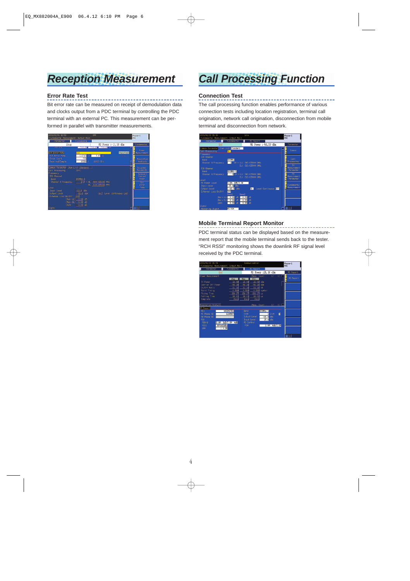# **Reception Measurement**

### **Error Rate Test**

Bit error rate can be measured on receipt of demodulation data and clocks output from a PDC terminal by controlling the PDC terminal with an external PC. This measurement can be performed in parallel with transmitter measurements.



# **Call Processing Function**

## **Connection Test**

The call processing function enables performance of various connection tests including location registration, terminal call origination, network call origination, disconnection from mobile terminal and disconnection from network.



### **Mobile Terminal Report Monitor**

PDC terminal status can be displayed based on the measurement report that the mobile terminal sends back to the tester. "RCH RSSI" monitoring shows the downlink RF signal level received by the PDC terminal.

| 2003/06/12 21:41    | (Fundamental Measurement) Output Main |                          | Compunication        |                       |               |      | Phone-1<br><b>PDC</b> |
|---------------------|---------------------------------------|--------------------------|----------------------|-----------------------|---------------|------|-----------------------|
| Parameter           | Fundamental                           |                          | <b>MS Report</b>     |                       |               |      |                       |
|                     | Knd                                   |                          |                      | MS Power : 25, 06 dBm |               |      | <b>MS</b> Report      |
| Power Measurement   |                                       |                          | (Meas, Dount :       |                       | $-1/$         | 1) F |                       |
|                     | Avg.                                  | Marc.                    | Min.                 |                       |               |      | <b>MS Report</b>      |
| <b>TX Power</b>     | 25.08                                 | 25.08                    | 25.08 dBn            |                       |               |      |                       |
| Carrier Off Power   | $-56.26$                              | $-56.26$                 | $-56.26$ dBn         |                       |               |      |                       |
| On/Off Ratio        | 81.34                                 | 81.34                    | $81.34 \text{ dB}$   |                       |               |      |                       |
| <b>Burst Tining</b> | 0.580                                 | 0.580                    |                      | 0.580 symbol          |               |      |                       |
| <b>Rising Time</b>  | 156.27                                | 156.27                   | 156.27 us            |                       |               |      |                       |
| <b>Falling Time</b> | 96.01                                 | 96.01                    | 96.01 us             |                       |               |      |                       |
| <b>Tenplate</b>     | Pass                                  | Pass                     | Pass                 |                       |               |      |                       |
|                     |                                       |                          |                      |                       |               |      |                       |
| Modulation Analysis |                                       |                          | (Meas, Dount :       |                       | $\frac{1}{2}$ |      |                       |
| <b>HS Report</b>    |                                       |                          |                      |                       |               |      |                       |
| <b>MST</b>          | A43043761                             | Band                     |                      | 800MHz-1              |               |      |                       |
| <b>KS Phone ND</b>  | 1234557                               | Dode                     |                      |                       | $1$ Slot      | к    |                       |
| <b>M Phone ND</b>   |                                       |                          | <b>Dutriut</b> Level | $-40.0$ dBn           |               |      |                       |
| <b>RCH</b>          |                                       |                          | <b>Irout Level</b>   | 25.0 dBn              |               |      |                       |
| POM-LI              | 3.0#- 8dB/2.0#- 4dB                   | <b><i>VS Control</i></b> |                      |                       |               |      |                       |
| RSSI                | 60to62dBu                             | <b>POW</b>               |                      |                       | 3.0H 4dB/2.0H |      |                       |
| EBB                 | ${}< 0.3$                             |                          |                      |                       |               |      |                       |
|                     |                                       |                          |                      |                       |               |      |                       |
|                     |                                       |                          |                      |                       |               |      | $-1$                  |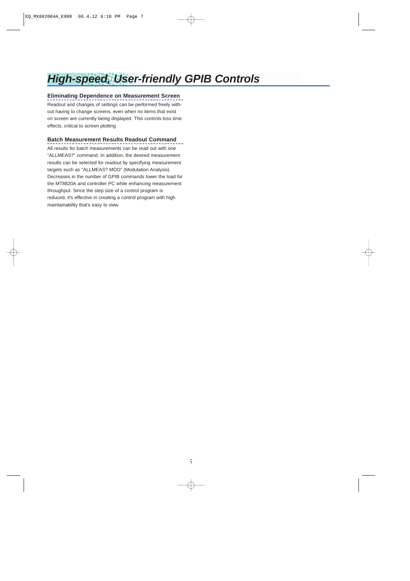# **High-speed, User-friendly GPIB Controls**

# **Eliminating Dependence on Measurement Screen**

Readout and changes of settings can be performed freely without having to change screens, even when no items that exist on screen are currently being displayed. This controls loss time effects, critical to screen plotting

## **Batch Measurement Results Readout Command**

All results for batch measurements can be read out with one "ALLMEAS?" command. In addition, the desired measurement results can be selected for readout by specifying measurement targets such as "ALLMEAS? MOD" (Modulation Analysis). Decreases in the number of GPIB commands lower the load for the MT8820A and controller PC while enhancing measurement throughput. Since the step size of a control program is reduced, it's effective in creating a control program with high maintainability that's easy to view.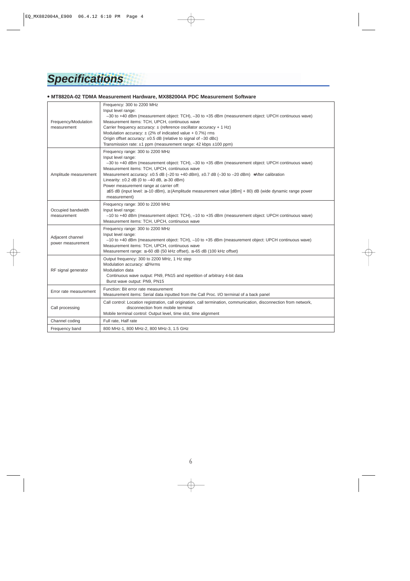# **Specifications**

### **• MT8820A-02 TDMA Measurement Hardware, MX882004A PDC Measurement Software**

| Frequency/Modulation<br>measurement   | Frequency: 300 to 2200 MHz<br>Input level range:<br>-30 to +40 dBm (measurement object: TCH), -30 to +35 dBm (measurement object: UPCH continuous wave)<br>Measurement items: TCH, UPCH, continuous wave<br>Carrier frequency accuracy: ± (reference oscillator accuracy + 1 Hz)<br>Modulation accuracy: $\pm$ (2% of indicated value + 0.7%) rms<br>Origin offset accuracy: ±0.5 dB (relative to signal of -30 dBc)<br>Transmission rate: $\pm 1$ ppm (measurement range: 42 kbps $\pm 100$ ppm)                                                                      |
|---------------------------------------|------------------------------------------------------------------------------------------------------------------------------------------------------------------------------------------------------------------------------------------------------------------------------------------------------------------------------------------------------------------------------------------------------------------------------------------------------------------------------------------------------------------------------------------------------------------------|
| Amplitude measurement                 | Frequency range: 300 to 2200 MHz<br>Input level range:<br>-30 to +40 dBm (measurement object: TCH), -30 to +35 dBm (measurement object: UPCH continuous wave)<br>Measurement items: TCH, UPCH, continuous wave<br>Measurement accuracy: $\pm 0.5$ dB (-20 to +40 dBm), $\pm 0.7$ dB (-30 to -20 dBm) *After calibration<br>Linearity: $\pm 0.2$ dB (0 to -40 dB, $\ge$ -30 dBm)<br>Power measurement range at carrier off:<br>$\geq$ 65 dB (input level: $\geq$ -10 dBm), $\geq$ (Amplitude measurement value [dBm] + 80) dB (wide dynamic range power<br>measurement) |
| Occupied bandwidth<br>measurement     | Frequency range: 300 to 2200 MHz<br>Input level range:<br>-10 to +40 dBm (measurement object: TCH), -10 to +35 dBm (measurement object: UPCH continuous wave)<br>Measurement items: TCH, UPCH, continuous wave                                                                                                                                                                                                                                                                                                                                                         |
| Adjacent channel<br>power measurement | Frequency range: 300 to 2200 MHz<br>Input level range:<br>-10 to +40 dBm (measurement object: TCH), -10 to +35 dBm (measurement object: UPCH continuous wave)<br>Measurement items: TCH, UPCH, continuous wave<br>Measurement range: ≤-60 dB (50 kHz offset), ≤-65 dB (100 kHz offset)                                                                                                                                                                                                                                                                                 |
| RF signal generator                   | Output frequency: 300 to 2200 MHz, 1 Hz step<br>Modulation accuracy: ≤3%rms<br>Modulation data<br>Continuous wave output: PN9, PN15 and repetition of arbitrary 4-bit data<br>Burst wave output: PN9, PN15                                                                                                                                                                                                                                                                                                                                                             |
| Error rate measurement                | Function: Bit error rate measurement<br>Measurement items: Serial data inputted from the Call Proc. I/O terminal of a back panel                                                                                                                                                                                                                                                                                                                                                                                                                                       |
| Call processing                       | Call control: Location registration, call origination, call termination, communication, disconnection from network,<br>disconnection from mobile terminal<br>Mobile terminal control: Output level, time slot, time alignment                                                                                                                                                                                                                                                                                                                                          |
| Channel coding                        | Full rate, Half rate                                                                                                                                                                                                                                                                                                                                                                                                                                                                                                                                                   |
| Frequency band                        | 800 MHz-1, 800 MHz-2, 800 MHz-3, 1.5 GHz                                                                                                                                                                                                                                                                                                                                                                                                                                                                                                                               |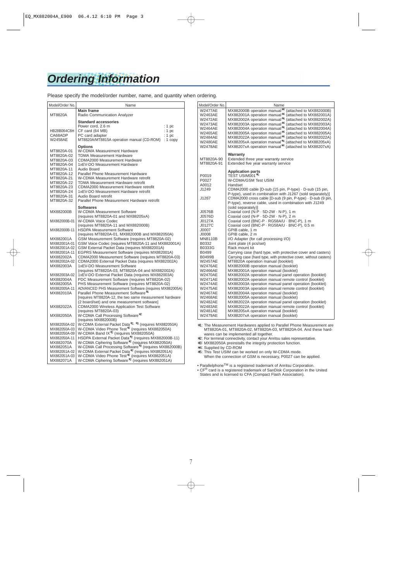# **Ordering Information**

Please specify the model/order number, name, and quantity when ordering.

| Main frame<br>MT8820A<br>Radio Communication Analyzer<br><b>Standard accessories</b><br>Power cord, 2.6 m<br>: $1~pc$<br>HB28B064C8H<br>CF card (64 MB)<br>: 1 pc<br>CA68ADP<br>PC card adapter<br>: 1 pc<br><b>W2458AE</b><br>MT8820A/MT8815A operation manual (CD-ROM) : 1 copy<br>Options                                                                                                                                                                                                                                                                                                                                                                                                                   |  |
|----------------------------------------------------------------------------------------------------------------------------------------------------------------------------------------------------------------------------------------------------------------------------------------------------------------------------------------------------------------------------------------------------------------------------------------------------------------------------------------------------------------------------------------------------------------------------------------------------------------------------------------------------------------------------------------------------------------|--|
|                                                                                                                                                                                                                                                                                                                                                                                                                                                                                                                                                                                                                                                                                                                |  |
|                                                                                                                                                                                                                                                                                                                                                                                                                                                                                                                                                                                                                                                                                                                |  |
| W-CDMA Measurement Hardware<br>MT8820A-01<br><b>TDMA Measurement Hardware</b><br>MT8820A-02<br>MT8820A-03<br><b>CDMA2000 Measurement Hardware</b><br>MT8820A-04<br>1xEV-DO Measurement Hardware<br>Audio Board<br>MT8820A-11<br>Parallel Phone Measurement Hardware<br>MT8820A-12<br>MT8820A-21<br>W-CDMA Measurement Hardware retrofit<br>TDMA Measurement Hardware retrofit<br>MT8820A-22<br>MT8820A-23<br>CDMA2000 Measurement Hardware retrofit<br>1xEV-DO Measurement Hardware retrofit<br>MT8820A-24<br>Audio Board retrofit<br>MT8820A-31<br>MT8820A-32<br>Parallel Phone Measurement Hardware retrofit                                                                                                 |  |
| <b>Softwares</b><br>W-CDMA Measurement Software<br>MX882000B<br>(requires MT8820A-01 and MX88205xA)                                                                                                                                                                                                                                                                                                                                                                                                                                                                                                                                                                                                            |  |
| <b>W-CDMA Voice Codec</b><br>MX882000B-01<br>(requires MT8820A-11 and MX882000B)                                                                                                                                                                                                                                                                                                                                                                                                                                                                                                                                                                                                                               |  |
| MX882000B-11<br><b>HSDPA Measurement Software</b><br>(requires MT8820A-01, MX882000B and MX882050A)                                                                                                                                                                                                                                                                                                                                                                                                                                                                                                                                                                                                            |  |
| GSM Measurement Software (requires MT8820A-02)<br>MX882001A<br>GSM Voice Codec (requires MT8820A-11 and MX882001A)<br>MX882001A-01<br>GSM External Packet Data (requires MX882001A)<br>MX882001A-02<br>MX882001A-11<br>EGPRS Measurement Software (requires MX882001A)<br>CDMA2000 Measurement Software (requires MT8820A-03)<br>MX882002A<br>MX882002A-02<br>CDMA2000 External Packet Data (requires MX882002A)<br>MX882003A<br>1xEV-DO Measurement Software<br>(requires MT8820A-03, MT8820A-04 and MX882002A)                                                                                                                                                                                               |  |
| 1xEV-DO External Packet Data (requires MX882003A)<br>MX882003A-02<br>MX882004A<br>PDC Measurement Software (requires MT8820A-02)<br>PHS Measurement Software (requires MT8820A-02)<br>MX882005A<br>MX882005A-11<br>ADVANCED PHS Measurement Software (requires MX882005A)<br>Parallel Phone Measurement Software*1<br>MX882010A<br>frequires MT8820A-12, the two same measurement hardware<br>(2 board/set) and one measurement software]                                                                                                                                                                                                                                                                      |  |
| MX882022A<br><b>CDMA2000 Wireless Application Test Software</b><br>(requires MT8820A-03)                                                                                                                                                                                                                                                                                                                                                                                                                                                                                                                                                                                                                       |  |
| W-CDMA Call Processing Software*2<br>MX882050A<br>(requires MX882000B)                                                                                                                                                                                                                                                                                                                                                                                                                                                                                                                                                                                                                                         |  |
| W-CDMA External Packet Data <sup>*2, *3</sup> (requires MX882050A)<br>MX882050A-02<br>W-CDMA Video Phone Test <sup>*2</sup> (requires MX882050A)<br>MX882050A-03<br>W-CDMA Band IX <sup>*2</sup> (requires MX882050A)<br>MX882050A-09<br>HSDPA External Packet Data* <sup>2</sup> (requires MX882000B-11)<br>MX882050A-11<br>W-CDMA Ciphering Software <sup>*2</sup> (requires MX882050A)<br>MX882070A<br>W-CDMA Call Processing Software <sup>*2</sup> (requires MX882000B)<br>MX882051A<br>W-CDMA External Packet Data <sup>*2</sup> (requires MX882051A)<br>MX882051A-02<br>W-CDMA Video Phone Test*2 (requires MX882051A)<br>MX882051A-03<br>W-CDMA Ciphering Software*2 (requires MX882051A)<br>MX882071A |  |

| <i></i>                                                                  |                                                                                                                                                                                                                                                                                                     |
|--------------------------------------------------------------------------|-----------------------------------------------------------------------------------------------------------------------------------------------------------------------------------------------------------------------------------------------------------------------------------------------------|
| Model/Order No.                                                          | Name                                                                                                                                                                                                                                                                                                |
| <b>W2477AE</b><br>W2463AE<br>W2472AE<br><b>W2473AE</b><br><b>W2464AE</b> | MX882000B operation manual*4<br>(attached to MX882000B)<br>MX882001A operation manual*4<br>(attached to MX882001A)<br>MX882002A operation manual*4<br>(attached to MX882002A)<br>MX882003A operation manual*4<br>(attached to MX882003A)<br>MX882004A operation manual*4<br>(attached to MX882004A) |
| W2465AE<br>W2484AE                                                       | MX882005A operation manual*4<br>(attached to MX882005A)<br>MX882022A operation manual*4<br>(attached to MX882022A)                                                                                                                                                                                  |
| <b>W2480AE</b><br><b>W2478AE</b>                                         | MX88205xA operation manual*4 (attached to MX88205xA)<br>MX88207xA operation manual*4 (attached to MX88207xA)                                                                                                                                                                                        |
|                                                                          | Warranty                                                                                                                                                                                                                                                                                            |
| MT8820A-90<br>MT8820A-91                                                 | Extended three year warranty service<br>Extended five year warranty service                                                                                                                                                                                                                         |
| P0019                                                                    | <b>Application parts</b><br>TEST USIM001*5                                                                                                                                                                                                                                                          |
| P0027<br>A0012                                                           | W-CDMA/GSM Test USIM<br>Handset                                                                                                                                                                                                                                                                     |
| J1249                                                                    | CDMA2000 cable [D-sub (15 pin, P-type) · D-sub (15 pin,<br>P-type), used in combination with J1267 (sold separately)]                                                                                                                                                                               |
| J1267                                                                    | CDMA2000 cross cable [D-sub (9 pin, P-type) · D-sub (9 pin,<br>P-type), reverse cable, used in combination with J1249<br>(sold separately)]                                                                                                                                                         |
| J0576B                                                                   | Coaxial cord (N-P · 5D-2W · N-P), 1 m                                                                                                                                                                                                                                                               |
| J0576D<br>J0127A                                                         | Coaxial cord (N-P · 5D-2W · N-P), 2 m<br>Coaxial cord (BNC-P · RG58A/U · BNC-P), 1 m                                                                                                                                                                                                                |
| J0127C                                                                   | Coaxial cord (BNC-P · RG58A/U · BNC-P), 0.5 m                                                                                                                                                                                                                                                       |
| J0007                                                                    | GPIB cable, 1 m                                                                                                                                                                                                                                                                                     |
| <b>J0008</b><br><b>MN8110B</b>                                           | GPIB cable, 2 m<br>I/O Adapter (for call processing I/O)                                                                                                                                                                                                                                            |
| B0332                                                                    | Joint plate (4 pcs/set)                                                                                                                                                                                                                                                                             |
| B0333G                                                                   | Rack mount kit                                                                                                                                                                                                                                                                                      |
| B0499                                                                    | Carrying case (hard type, with protective cover and casters)                                                                                                                                                                                                                                        |
| <b>B0499B</b>                                                            | Carrying case (hard type, with protective cover, without casters)                                                                                                                                                                                                                                   |
| <b>W2457AE</b>                                                           | MT8820A operation manual (booklet)                                                                                                                                                                                                                                                                  |
| <b>W2476AE</b>                                                           | MX882000B operation manual (booklet)                                                                                                                                                                                                                                                                |
| <b>W2466AE</b><br><b>W2470AE</b>                                         | MX882001A operation manual (booklet)<br>MX882002A operation manual panel operation (booklet)                                                                                                                                                                                                        |
| W2471AE                                                                  | MX882002A operation manual remote control (booklet)                                                                                                                                                                                                                                                 |
| <b>W2474AE</b>                                                           | MX882003A operation manual panel operation (booklet)                                                                                                                                                                                                                                                |
| <b>W2475AE</b>                                                           | MX882003A operation manual remote control (booklet)                                                                                                                                                                                                                                                 |
| <b>W2467AE</b>                                                           | MX882004A operation manual (booklet)                                                                                                                                                                                                                                                                |
| W2468AE                                                                  | MX882005A operation manual (booklet)                                                                                                                                                                                                                                                                |
| <b>W2482AE</b>                                                           | MX882022A operation manual panel operation (booklet)                                                                                                                                                                                                                                                |
| <b>W2483AE</b>                                                           | MX882022A operation manual remote control (booklet)                                                                                                                                                                                                                                                 |
| W2481AE                                                                  | MX88205xA operation manual (booklet)                                                                                                                                                                                                                                                                |
| <b>W2479AE</b>                                                           | MX88207xA operation manual (booklet)                                                                                                                                                                                                                                                                |

∗1: The Measurement Hardwares applied to Parallel Phone Measurement are MT8820A-01, MT8820A-02, MT8820A-03, MT8820A-04. And these hardwares can be implemented all together.

∗2: For terminal connectivity, contact your Anritsu sales representative. ∗3: MX882050A preinstalls the integrity protection function.

∗4: Supplied by CD-ROM

∗5: This Test USIM can be worked on only W-CDMA mode. When the connection of GSM is necessary, P0027 can be applied.

• Parallelphone<sup>TM</sup> is a registered trademark of Anritsu Corporation.

• CF® card is a registered trademark of SanDisk Corporation in the United States and is licensed to CFA (Compact Flash Association).